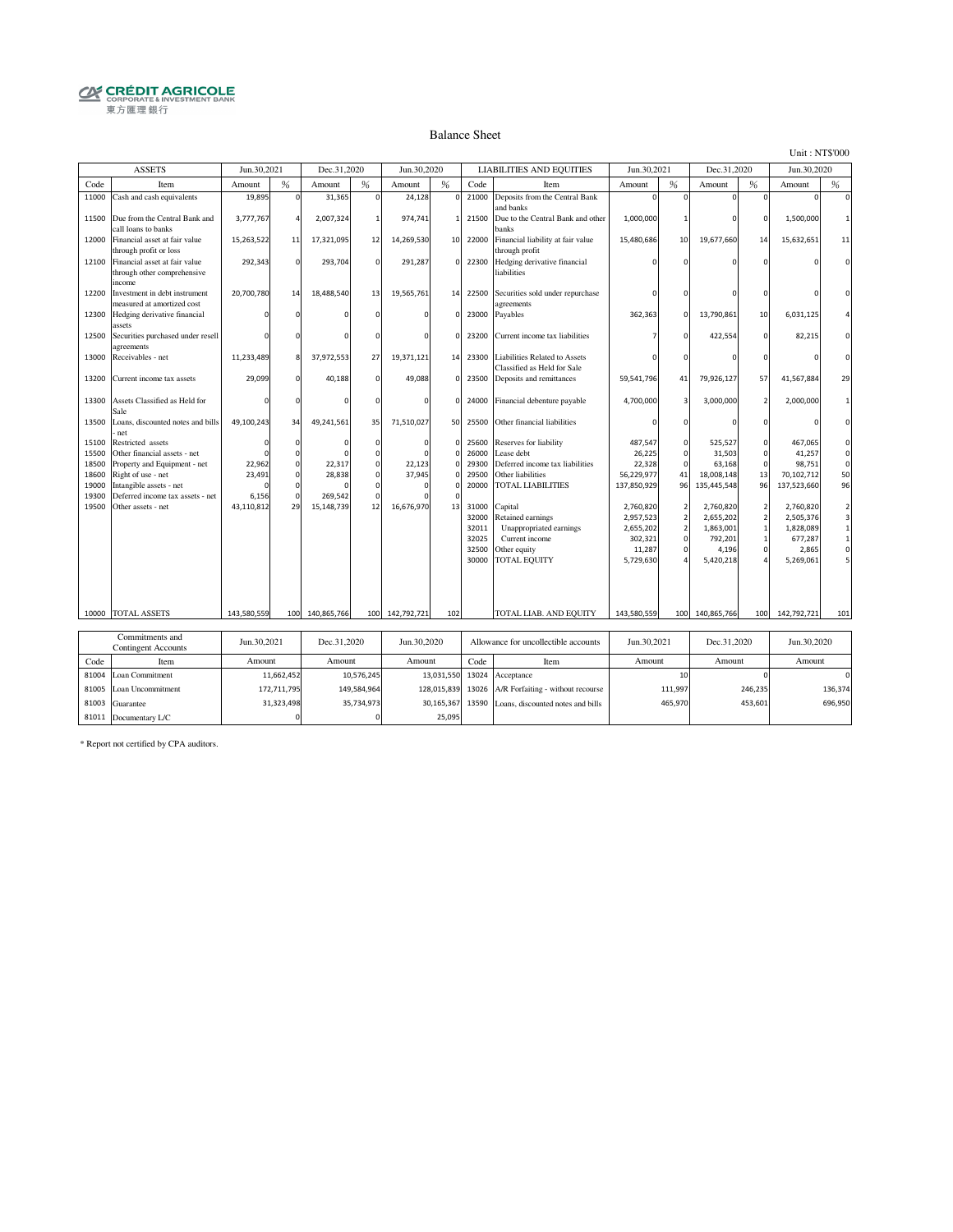# **CRÉDIT AGRICOLE**<br> **CORPORATE& INVESTMENT BANK**<br>
東方匯理銀行

#### Balance Sheet

Unit : NT\$'000

|                                                    | <b>ASSETS</b>                                                                                                                                                          | Jun.30,2021               |                                                          | Dec.31,2020                 |                                                                            | Jun.30,2020                  |                                                             |                                                    | <b>LIABILITIES AND EQUITIES</b>                                                                                   | Jun.30,2021                                                           |                                                            | Dec.31,2020                                                          |                                                 | Jun.30,2020                                                          |                                                                                                |
|----------------------------------------------------|------------------------------------------------------------------------------------------------------------------------------------------------------------------------|---------------------------|----------------------------------------------------------|-----------------------------|----------------------------------------------------------------------------|------------------------------|-------------------------------------------------------------|----------------------------------------------------|-------------------------------------------------------------------------------------------------------------------|-----------------------------------------------------------------------|------------------------------------------------------------|----------------------------------------------------------------------|-------------------------------------------------|----------------------------------------------------------------------|------------------------------------------------------------------------------------------------|
| Code                                               | Item                                                                                                                                                                   | Amount                    | %                                                        | Amount                      | %                                                                          | Amount                       | %                                                           | Code                                               | Item                                                                                                              | Amount                                                                | %                                                          | Amount                                                               | %                                               | Amount                                                               | %                                                                                              |
| 11000                                              | Cash and cash equivalents                                                                                                                                              | 19,895                    | $\Omega$                                                 | 31,365                      | $\Omega$                                                                   | 24,128                       | $\mathbf 0$                                                 | 21000                                              | Deposits from the Central Bank<br>and banks                                                                       |                                                                       |                                                            | n                                                                    | O                                               |                                                                      | $\Omega$                                                                                       |
| 11500                                              | Due from the Central Bank and<br>call loans to banks                                                                                                                   | 3,777,767                 | $\overline{4}$                                           | 2,007,324                   |                                                                            | 974,741                      | $\mathbf{1}$                                                | 21500                                              | Due to the Central Bank and other<br>banks                                                                        | 1,000,000                                                             |                                                            |                                                                      | n                                               | 1,500,000                                                            | $\mathbf{1}$                                                                                   |
| 12000                                              | Financial asset at fair value<br>through profit or loss                                                                                                                | 15,263,522                | 11                                                       | 17,321,095                  | 12                                                                         | 14,269,530                   | 10                                                          | 22000                                              | Financial liability at fair value<br>through profit                                                               | 15,480,686                                                            | 10                                                         | 19,677,660                                                           | 14                                              | 15,632,651                                                           | 11                                                                                             |
| 12100                                              | Financial asset at fair value<br>through other comprehensive<br>income                                                                                                 | 292,343                   | $\Omega$                                                 | 293,704                     | $\Omega$                                                                   | 291,287                      | $\Omega$                                                    | 22300                                              | Hedging derivative financial<br>liabilities                                                                       |                                                                       |                                                            |                                                                      |                                                 |                                                                      | $\Omega$                                                                                       |
| 12200                                              | Investment in debt instrument<br>measured at amortized cost                                                                                                            | 20,700,780                | 14                                                       | 18,488,540                  | 13                                                                         | 19,565,761                   | 14                                                          | 22500                                              | Securities sold under repurchase<br>agreements                                                                    |                                                                       |                                                            |                                                                      |                                                 |                                                                      | $\Omega$                                                                                       |
| 12300                                              | Hedging derivative financial<br>assets                                                                                                                                 |                           |                                                          |                             |                                                                            | $\Omega$                     | $\mathbf 0$                                                 | 23000                                              | Payables                                                                                                          | 362,363                                                               |                                                            | 13,790,861                                                           | 10                                              | 6,031,125                                                            | $\overline{4}$                                                                                 |
| 12500                                              | Securities purchased under resell<br>agreements                                                                                                                        |                           |                                                          |                             |                                                                            | $\Omega$                     | $\mathbf 0$                                                 | 23200                                              | Current income tax liabilities                                                                                    |                                                                       |                                                            | 422,554                                                              | $\Omega$                                        | 82,215                                                               |                                                                                                |
| 13000                                              | Receivables - net                                                                                                                                                      | 11,233,489                | 8                                                        | 37,972,553                  | 27                                                                         | 19,371,121                   | 14                                                          | 23300                                              | Liabilities Related to Assets<br>Classified as Held for Sale                                                      |                                                                       |                                                            |                                                                      |                                                 |                                                                      | $\Omega$                                                                                       |
| 13200                                              | Current income tax assets                                                                                                                                              | 29,099                    | $\Omega$                                                 | 40,188                      | $\Omega$                                                                   | 49,088                       | $\circ$                                                     | 23500                                              | Deposits and remittances                                                                                          | 59,541,796                                                            | 41                                                         | 79,926,127                                                           | 57                                              | 41,567,884                                                           | 29                                                                                             |
| 13300                                              | Assets Classified as Held for<br>Sale                                                                                                                                  |                           |                                                          |                             | $\Omega$                                                                   | $\mathbf 0$                  | $\circ$                                                     | 24000                                              | Financial debenture payable                                                                                       | 4,700,000                                                             | 3                                                          | 3,000,000                                                            | $\overline{2}$                                  | 2,000,000                                                            | $\mathbf{1}$                                                                                   |
| 13500                                              | Loans, discounted notes and bills<br>net                                                                                                                               | 49,100,243                | 34                                                       | 49,241,561                  | 35                                                                         | 71,510,027                   | 50                                                          | 25500                                              | Other financial liabilities                                                                                       |                                                                       |                                                            |                                                                      |                                                 |                                                                      | $\Omega$                                                                                       |
| 15100<br>15500<br>18500<br>18600<br>19000<br>19300 | Restricted assets<br>Other financial assets - net<br>Property and Equipment - net<br>Right of use - net<br>Intangible assets - net<br>Deferred income tax assets - net | 22,962<br>23,491<br>6,156 | $\Omega$<br>$\Omega$<br>$\Omega$<br>$\Omega$<br>$\Omega$ | 22,317<br>28,838<br>269,542 | $\mathbf 0$<br>$\Omega$<br>$\Omega$<br>$\mathbf 0$<br>$\Omega$<br>$\Omega$ | $\Omega$<br>22,123<br>37,945 | $\mathbf 0$<br>$\Omega$<br>$\Omega$<br>$\Omega$<br>$\Omega$ | 25600<br>26000<br>29300<br>29500<br>20000          | Reserves for liability<br>Lease debt<br>Deferred income tax liabilities<br>Other liabilities<br>TOTAL LIABILITIES | 487,547<br>26,225<br>22,328<br>56,229,977<br>137,850,929              | $\circ$<br>$\mathbf 0$<br>C<br>41<br>96                    | 525,527<br>31,503<br>63,168<br>18,008,148<br>135,445,548             | $\Omega$<br>$\mathbf 0$<br>$\Omega$<br>13<br>96 | 467,065<br>41,257<br>98,751<br>70,102,712<br>137,523,660             | $\mathsf 0$<br>$\mathbf 0$<br>$\mathbf 0$<br>50<br>96                                          |
| 19500                                              | Other assets - net                                                                                                                                                     | 43,110,812                | 29                                                       | 15,148,739                  | 12                                                                         | 16,676,970                   | 13                                                          | 31000<br>32000<br>32011<br>32025<br>32500<br>30000 | Capital<br>Retained earnings<br>Unappropriated earnings<br>Current income<br>Other equity<br><b>TOTAL EQUITY</b>  | 2,760,820<br>2,957,523<br>2,655,202<br>302,321<br>11,287<br>5,729,630 | $\overline{\mathbf{c}}$<br>$\overline{a}$<br>$\Omega$<br>C | 2,760,820<br>2,655,202<br>1,863,001<br>792,201<br>4,196<br>5,420,218 | $\mathcal{P}$<br>$\overline{\phantom{a}}$       | 2,760,820<br>2,505,376<br>1,828,089<br>677,287<br>2,865<br>5,269,061 | $\overline{a}$<br>$\overline{\mathbf{3}}$<br>$\mathbf 1$<br>$\mathbf 1$<br>$\mathsf{O}\xspace$ |
|                                                    | 10000 TOTAL ASSETS                                                                                                                                                     | 143,580,559               | 100                                                      | 140,865,766                 |                                                                            | 100 142,792,721              | 102                                                         |                                                    | TOTAL LIAB. AND EQUITY                                                                                            | 143,580,559                                                           | 100                                                        | 140,865,766                                                          | 100                                             | 142,792,721                                                          | 101                                                                                            |
|                                                    | Commitments and<br><b>Contingent Accounts</b>                                                                                                                          | Jun.30.2021               |                                                          | Dec.31.2020                 |                                                                            | Jun.30.2020                  |                                                             |                                                    | Allowance for uncollectible accounts                                                                              | Jun.30.2021                                                           |                                                            | Dec.31.2020                                                          |                                                 | Jun.30.2020                                                          |                                                                                                |
| Code                                               | Item                                                                                                                                                                   | Amount                    |                                                          | Amount                      |                                                                            | Amount                       |                                                             | Code                                               | Item                                                                                                              | Amount                                                                |                                                            | Amount                                                               |                                                 | Amount                                                               |                                                                                                |
| 81004                                              | Loan Commitment                                                                                                                                                        |                           | 11,662,452                                               |                             | 10,576,245                                                                 |                              | 13,031,550                                                  | 13024                                              | Acceptance                                                                                                        |                                                                       | 10                                                         |                                                                      |                                                 |                                                                      | $\mathbf 0$                                                                                    |
| 81005                                              | Loan Uncommitment                                                                                                                                                      |                           | 172,711,795                                              |                             | 149,584,964                                                                |                              | 128,015,839                                                 | 13026                                              | A/R Forfaiting - without recourse                                                                                 |                                                                       | 111,997                                                    |                                                                      | 246,235                                         |                                                                      | 136,374                                                                                        |
| 81003                                              | Guarantee                                                                                                                                                              |                           | 31,323,498                                               |                             | 35,734,973                                                                 |                              | 30,165,367                                                  | 13590                                              | Loans, discounted notes and bills                                                                                 |                                                                       | 465,970                                                    |                                                                      | 453,601                                         |                                                                      | 696,950                                                                                        |
|                                                    | 81011 Documentary L/C                                                                                                                                                  |                           | $\Omega$                                                 |                             | $\Omega$                                                                   |                              | 25,095                                                      |                                                    |                                                                                                                   |                                                                       |                                                            |                                                                      |                                                 |                                                                      |                                                                                                |

\* Report not certified by CPA auditors.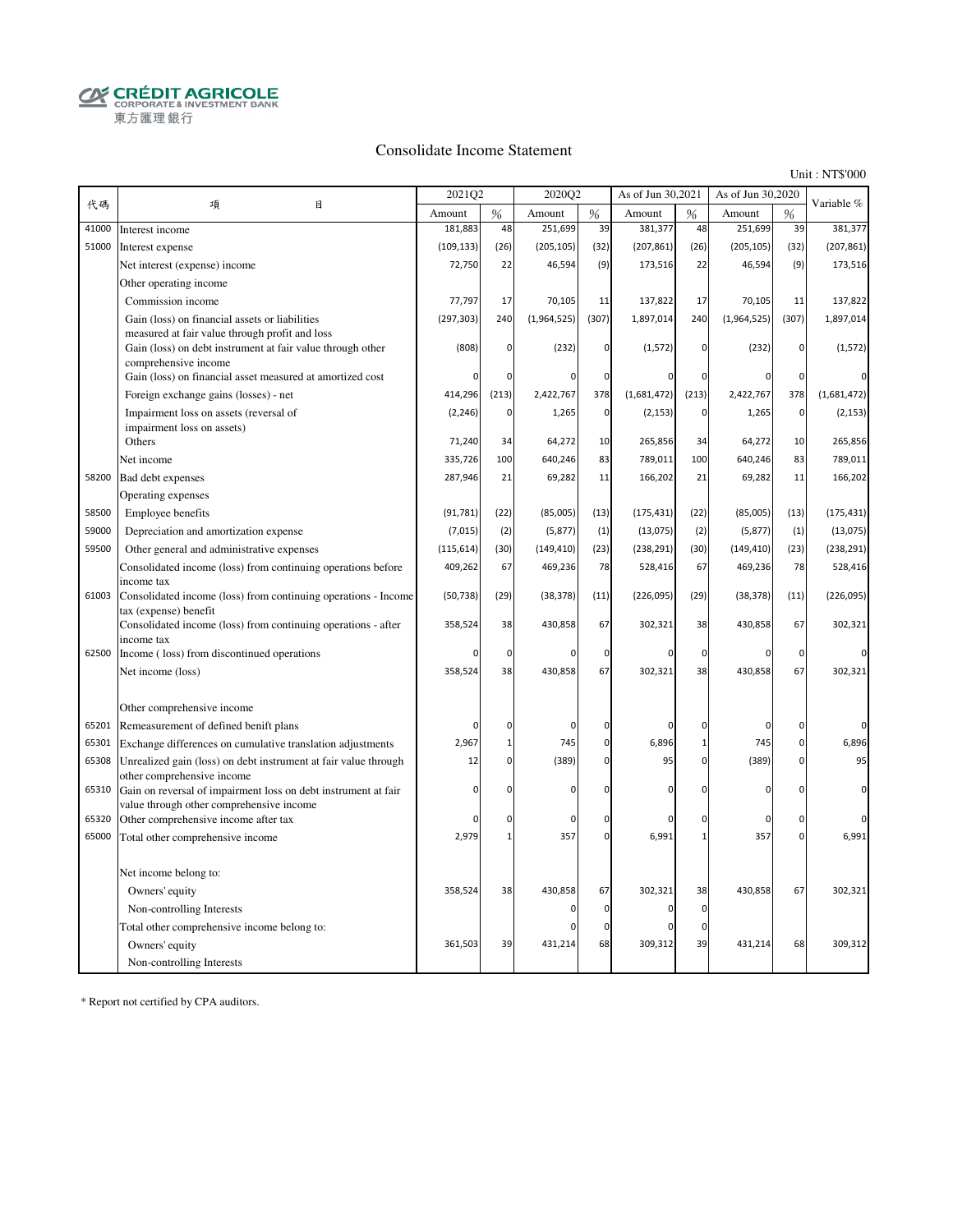**CRÉDIT AGRICOLE**<br>CORPORATE & INVESTMENT BANK 東方匯理銀行

#### Consolidate Income Statement

Unit : NT\$'000

|       |                                                                                                              | 2021Q2     |              | 2020Q2       |             | As of Jun 30,2021 |                | As of Jun 30,2020 |             | Variable %  |
|-------|--------------------------------------------------------------------------------------------------------------|------------|--------------|--------------|-------------|-------------------|----------------|-------------------|-------------|-------------|
| 代碼    | 項<br>目                                                                                                       | Amount     | %            | Amount       | %           | Amount            | %              | Amount            | %           |             |
| 41000 | Interest income                                                                                              | 181,883    | 48           | 251,699      | 39          | 381,377           | 48             | 251,699           | 39          | 381,377     |
| 51000 | Interest expense                                                                                             | (109, 133) | (26)         | (205, 105)   | (32)        | (207, 861)        | (26)           | (205, 105)        | (32)        | (207, 861)  |
|       | Net interest (expense) income                                                                                | 72,750     | 22           | 46,594       | (9)         | 173,516           | 22             | 46,594            | (9)         | 173,516     |
|       | Other operating income                                                                                       |            |              |              |             |                   |                |                   |             |             |
|       | Commission income                                                                                            | 77,797     | 17           | 70,105       | 11          | 137,822           | 17             | 70,105            | 11          | 137,822     |
|       | Gain (loss) on financial assets or liabilities                                                               | (297, 303) | 240          | (1,964,525)  | (307)       | 1,897,014         | 240            | (1,964,525)       | (307)       | 1,897,014   |
|       | measured at fair value through profit and loss<br>Gain (loss) on debt instrument at fair value through other | (808)      | $\mathbf 0$  | (232)        | $\pmb{0}$   | (1, 572)          | $\overline{0}$ | (232)             | 0           | (1, 572)    |
|       | comprehensive income                                                                                         |            |              |              |             |                   |                |                   |             |             |
|       | Gain (loss) on financial asset measured at amortized cost                                                    | O          | 0            | $\Omega$     | $\mathbf 0$ |                   | 0              | $\Omega$          | $\mathbf 0$ | 0           |
|       | Foreign exchange gains (losses) - net                                                                        | 414,296    | (213)        | 2,422,767    | 378         | (1,681,472)       | (213)          | 2,422,767         | 378         | (1,681,472) |
|       | Impairment loss on assets (reversal of                                                                       | (2, 246)   | $\mathbf 0$  | 1,265        | $\mathbf 0$ | (2, 153)          | $\pmb{0}$      | 1,265             | $\pmb{0}$   | (2, 153)    |
|       | impairment loss on assets)                                                                                   |            |              |              |             |                   |                |                   |             |             |
|       | Others                                                                                                       | 71,240     | 34           | 64,272       | 10          | 265,856           | 34             | 64,272            | 10          | 265,856     |
|       | Net income                                                                                                   | 335,726    | 100          | 640,246      | 83          | 789,011           | 100            | 640,246           | 83          | 789,011     |
| 58200 | Bad debt expenses                                                                                            | 287,946    | 21           | 69,282       | 11          | 166,202           | 21             | 69,282            | 11          | 166,202     |
|       | Operating expenses                                                                                           |            |              |              |             |                   |                |                   |             |             |
| 58500 | Employee benefits                                                                                            | (91, 781)  | (22)         | (85,005)     | (13)        | (175, 431)        | (22)           | (85,005)          | (13)        | (175, 431)  |
| 59000 | Depreciation and amortization expense                                                                        | (7,015)    | (2)          | (5, 877)     | (1)         | (13,075)          | (2)            | (5, 877)          | (1)         | (13, 075)   |
| 59500 | Other general and administrative expenses                                                                    | (115, 614) | (30)         | (149, 410)   | (23)        | (238, 291)        | (30)           | (149, 410)        | (23)        | (238, 291)  |
|       | Consolidated income (loss) from continuing operations before<br>income tax                                   | 409,262    | 67           | 469,236      | 78          | 528,416           | 67             | 469,236           | 78          | 528,416     |
| 61003 | Consolidated income (loss) from continuing operations - Income                                               | (50, 738)  | (29)         | (38, 378)    | (11)        | (226, 095)        | (29)           | (38, 378)         | (11)        | (226, 095)  |
|       | tax (expense) benefit                                                                                        |            |              |              |             |                   |                |                   |             |             |
|       | Consolidated income (loss) from continuing operations - after                                                | 358,524    | 38           | 430,858      | 67          | 302,321           | 38             | 430,858           | 67          | 302,321     |
| 62500 | income tax<br>Income (loss) from discontinued operations                                                     | O          | 0            | $\mathsf{C}$ | 0           | $\Omega$          | 0              | 0                 | $\Omega$    |             |
|       | Net income (loss)                                                                                            | 358,524    | 38           | 430,858      | 67          | 302,321           | 38             | 430,858           | 67          | 302,321     |
|       |                                                                                                              |            |              |              |             |                   |                |                   |             |             |
|       | Other comprehensive income                                                                                   |            |              |              |             |                   |                |                   |             |             |
| 65201 | Remeasurement of defined benift plans                                                                        | $\Omega$   | 0            | $\mathbf 0$  | $\pmb{0}$   | $\Omega$          | 0              | 0                 | 0           | 0           |
| 65301 | Exchange differences on cumulative translation adjustments                                                   | 2,967      | $\mathbf{1}$ | 745          | $\pmb{0}$   | 6,896             | $\mathbf{1}$   | 745               | 0           | 6,896       |
| 65308 | Unrealized gain (loss) on debt instrument at fair value through                                              | 12         | $\mathbf 0$  | (389)        | $\pmb{0}$   | 95                | 0              | (389)             | 0           | 95          |
|       | other comprehensive income                                                                                   |            |              |              |             |                   |                |                   |             |             |
| 65310 | Gain on reversal of impairment loss on debt instrument at fair                                               | 0          | $\mathbf 0$  | $\Omega$     | $\mathbf 0$ | O                 | $\Omega$       | $\Omega$          | 0           | $\mathbf 0$ |
| 65320 | value through other comprehensive income<br>Other comprehensive income after tax                             | $\Omega$   | 0            | $\Omega$     | $\pmb{0}$   |                   | 0              | 0                 | O           | $\Omega$    |
| 65000 |                                                                                                              | 2,979      | $\mathbf{1}$ | 357          | $\mathbf 0$ | 6,991             | $\mathbf 1$    | 357               | 0           | 6,991       |
|       | Total other comprehensive income                                                                             |            |              |              |             |                   |                |                   |             |             |
|       | Net income belong to:                                                                                        |            |              |              |             |                   |                |                   |             |             |
|       | Owners' equity                                                                                               | 358,524    | 38           | 430,858      | 67          | 302,321           | 38             | 430,858           | 67          | 302,321     |
|       | Non-controlling Interests                                                                                    |            |              | $\Omega$     | 0           | 0                 | $\Omega$       |                   |             |             |
|       | Total other comprehensive income belong to:                                                                  |            |              |              | $\mathbf 0$ |                   | 0              |                   |             |             |
|       | Owners' equity                                                                                               | 361,503    | 39           | 431,214      | 68          | 309,312           | 39             | 431,214           | 68          | 309,312     |
|       | Non-controlling Interests                                                                                    |            |              |              |             |                   |                |                   |             |             |
|       |                                                                                                              |            |              |              |             |                   |                |                   |             |             |

\* Report not certified by CPA auditors.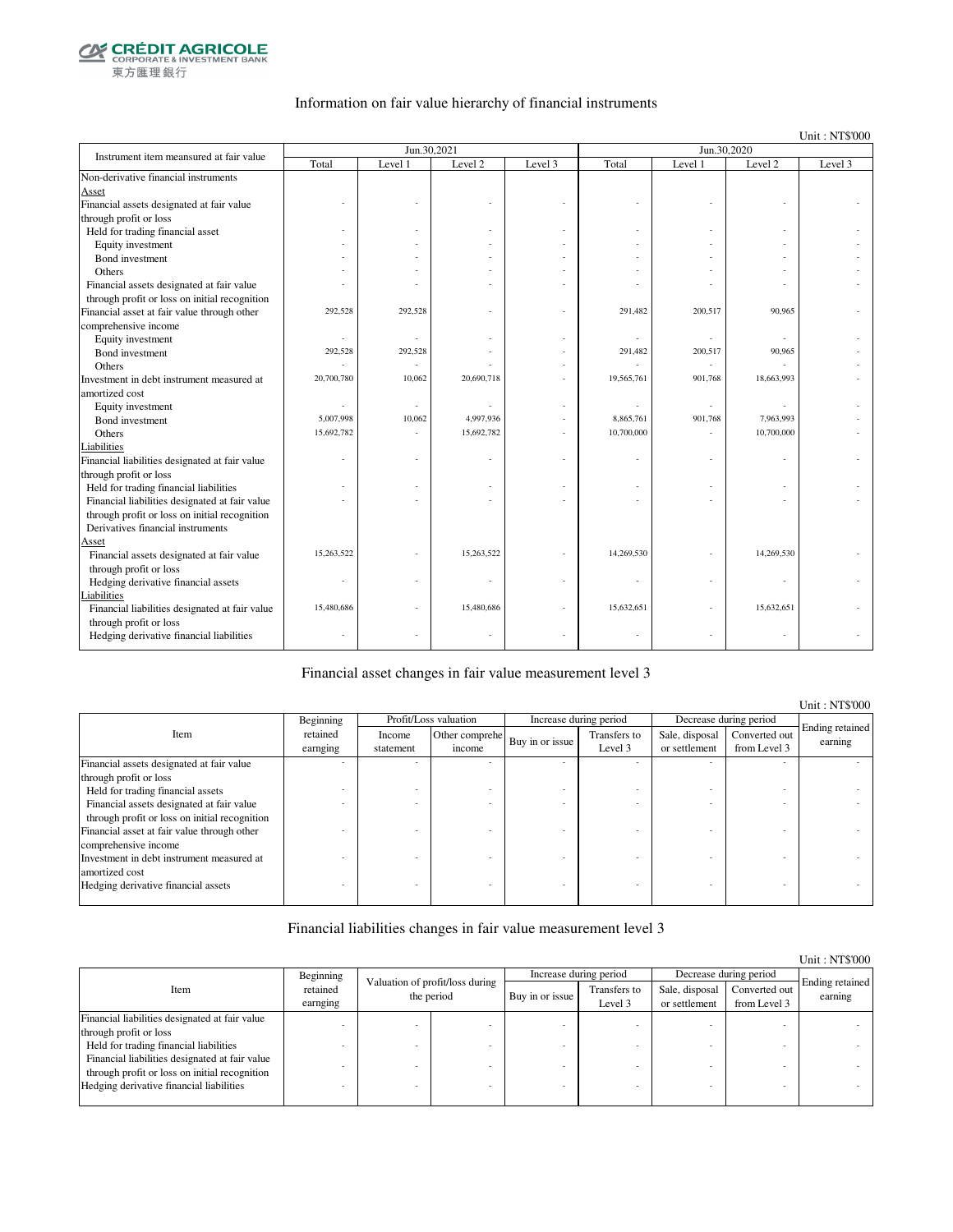

### Information on fair value hierarchy of financial instruments

Unit : NT\$'000

| Instrument item meansured at fair value        |            | Jun.30.2021 |            |         |            | Jun.30,2020 |            |         |
|------------------------------------------------|------------|-------------|------------|---------|------------|-------------|------------|---------|
|                                                | Total      | Level 1     | Level 2    | Level 3 | Total      | Level 1     | Level 2    | Level 3 |
| Non-derivative financial instruments           |            |             |            |         |            |             |            |         |
| Asset                                          |            |             |            |         |            |             |            |         |
| Financial assets designated at fair value      |            |             |            |         |            |             |            |         |
| through profit or loss                         |            |             |            |         |            |             |            |         |
| Held for trading financial asset               |            |             |            |         |            |             |            |         |
| Equity investment                              |            |             |            |         |            |             |            |         |
| Bond investment                                |            |             |            |         |            |             |            |         |
| Others                                         |            |             |            |         |            |             |            |         |
| Financial assets designated at fair value      |            |             |            |         |            |             |            |         |
| through profit or loss on initial recognition  |            |             |            |         |            |             |            |         |
| Financial asset at fair value through other    | 292,528    | 292,528     |            |         | 291,482    | 200,517     | 90,965     |         |
| comprehensive income                           |            |             |            |         |            |             |            |         |
| Equity investment                              | ä,         |             |            |         |            |             |            |         |
| Bond investment                                | 292,528    | 292,528     |            |         | 291,482    | 200,517     | 90,965     |         |
| Others                                         |            |             |            |         |            | ٠           |            |         |
| Investment in debt instrument measured at      | 20,700,780 | 10,062      | 20,690,718 |         | 19,565,761 | 901,768     | 18,663,993 |         |
| amortized cost                                 |            |             |            |         |            |             |            |         |
| Equity investment                              |            |             |            |         |            |             |            |         |
| Bond investment                                | 5,007,998  | 10,062      | 4,997,936  |         | 8,865,761  | 901,768     | 7,963,993  |         |
| Others                                         | 15,692,782 |             | 15,692,782 |         | 10,700,000 |             | 10,700,000 |         |
| Liabilities                                    |            |             |            |         |            |             |            |         |
| Financial liabilities designated at fair value |            |             |            |         |            |             |            |         |
| through profit or loss                         |            |             |            |         |            |             |            |         |
| Held for trading financial liabilities         |            |             |            |         |            |             |            |         |
| Financial liabilities designated at fair value |            |             |            |         |            |             |            |         |
| through profit or loss on initial recognition  |            |             |            |         |            |             |            |         |
| Derivatives financial instruments              |            |             |            |         |            |             |            |         |
| Asset                                          |            |             |            |         |            |             |            |         |
| Financial assets designated at fair value      | 15,263,522 |             | 15,263,522 |         | 14,269,530 |             | 14,269,530 |         |
| through profit or loss                         |            |             |            |         |            |             |            |         |
| Hedging derivative financial assets            |            |             |            |         |            |             |            |         |
| Liabilities                                    |            |             |            |         |            |             |            |         |
| Financial liabilities designated at fair value | 15,480,686 |             | 15,480,686 |         | 15,632,651 |             | 15,632,651 |         |
| through profit or loss                         |            |             |            |         |            |             |            |         |
| Hedging derivative financial liabilities       |            |             |            |         |            | ٠           |            |         |

#### Financial asset changes in fair value measurement level 3

|                                               |           |           |                       |                 |                        |                |                        | Unit : NTS'000             |
|-----------------------------------------------|-----------|-----------|-----------------------|-----------------|------------------------|----------------|------------------------|----------------------------|
|                                               | Beginning |           | Profit/Loss valuation |                 | Increase during period |                | Decrease during period |                            |
| Item                                          | retained  | Income    | Other comprehe        | Buy in or issue | Transfers to           | Sale, disposal | Converted out          | Ending retained<br>earning |
|                                               | earnging  | statement | income                |                 | Level 3                | or settlement  | from Level 3           |                            |
| Financial assets designated at fair value     |           |           |                       |                 |                        |                |                        |                            |
| through profit or loss                        |           |           |                       |                 |                        |                |                        |                            |
| Held for trading financial assets             |           |           |                       |                 |                        |                |                        |                            |
| Financial assets designated at fair value     |           |           |                       |                 |                        |                |                        |                            |
| through profit or loss on initial recognition |           |           |                       |                 |                        |                |                        |                            |
| Financial asset at fair value through other   |           |           |                       |                 |                        |                |                        |                            |
| comprehensive income                          |           |           |                       |                 |                        |                |                        |                            |
| Investment in debt instrument measured at     |           |           |                       |                 |                        |                |                        |                            |
| amortized cost                                |           |           |                       |                 |                        |                |                        |                            |
| Hedging derivative financial assets           |           |           |                       |                 |                        |                |                        |                            |
|                                               |           |           |                       |                 |                        |                |                        |                            |

### Financial liabilities changes in fair value measurement level 3

|                                                                                                 |                      |                                               |                 |                         |                                 |                               | Unit: NT\$'000             |
|-------------------------------------------------------------------------------------------------|----------------------|-----------------------------------------------|-----------------|-------------------------|---------------------------------|-------------------------------|----------------------------|
|                                                                                                 | Beginning            |                                               |                 | Increase during period  |                                 | Decrease during period        |                            |
| Item                                                                                            | retained<br>earnging | Valuation of profit/loss during<br>the period | Buy in or issue | Transfers to<br>Level 3 | Sale, disposal<br>or settlement | Converted out<br>from Level 3 | Ending retained<br>earning |
| Financial liabilities designated at fair value                                                  |                      |                                               |                 |                         |                                 |                               |                            |
| through profit or loss                                                                          |                      |                                               |                 |                         |                                 |                               |                            |
| Held for trading financial liabilities                                                          |                      |                                               |                 |                         |                                 |                               |                            |
| Financial liabilities designated at fair value<br>through profit or loss on initial recognition |                      |                                               |                 |                         |                                 |                               |                            |
| Hedging derivative financial liabilities                                                        |                      |                                               |                 |                         |                                 |                               |                            |

Unit : NT\$'000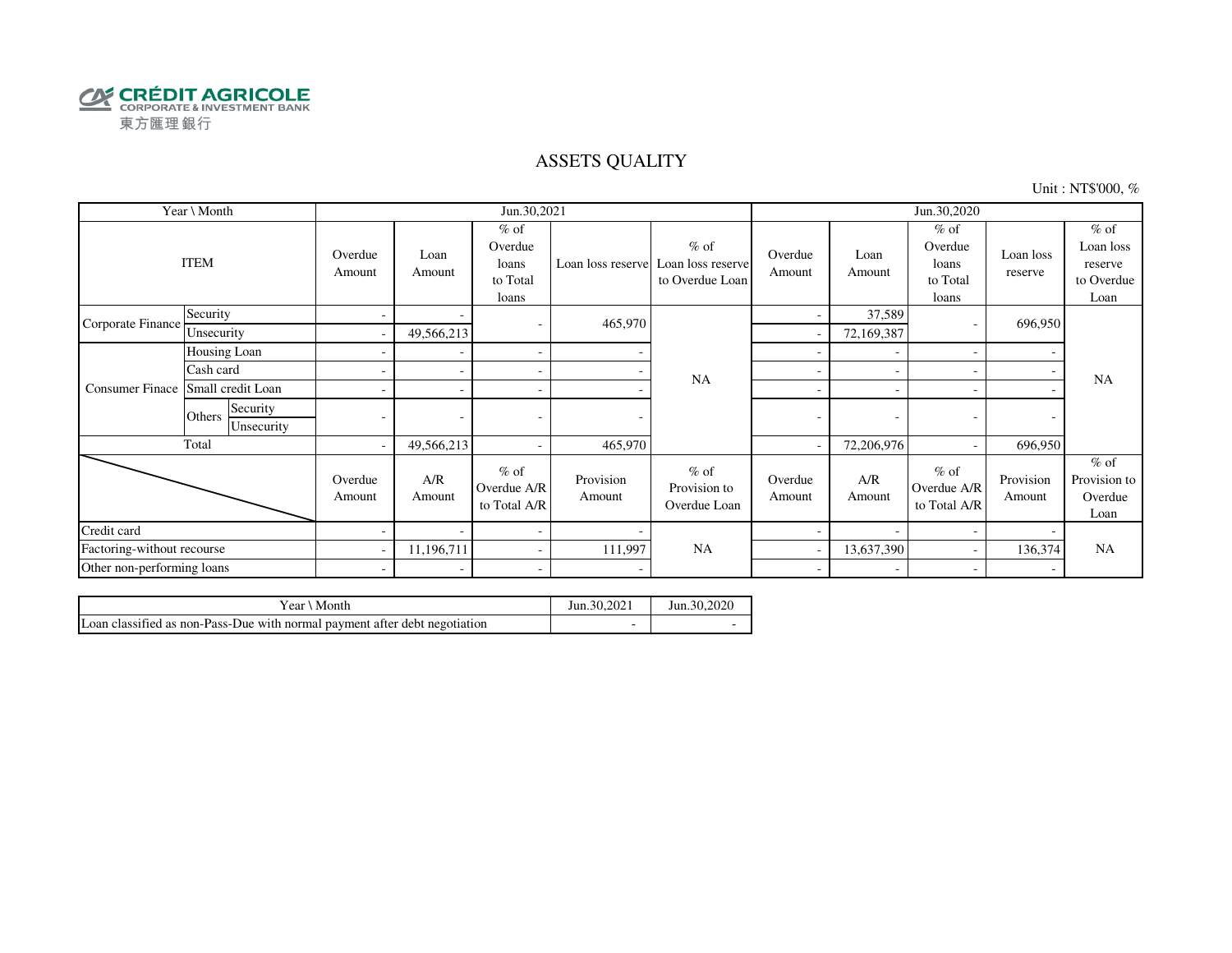

### ASSETS QUALITY

Unit : NT\$'000, %

|                            | Year \ Month                     |                          |                          | Jun.30,2021                                     |                     |                                                                  |                   |                          | Jun.30,2020                                     |                      |                                                      |
|----------------------------|----------------------------------|--------------------------|--------------------------|-------------------------------------------------|---------------------|------------------------------------------------------------------|-------------------|--------------------------|-------------------------------------------------|----------------------|------------------------------------------------------|
|                            | <b>ITEM</b>                      | Overdue<br>Amount        | Loan<br>Amount           | $%$ of<br>Overdue<br>loans<br>to Total<br>loans |                     | $%$ of<br>Loan loss reserve Loan loss reserve<br>to Overdue Loan | Overdue<br>Amount | Loan<br>Amount           | $%$ of<br>Overdue<br>loans<br>to Total<br>loans | Loan loss<br>reserve | $%$ of<br>Loan loss<br>reserve<br>to Overdue<br>Loan |
| Corporate Finance          | Security                         | -                        |                          | ۰                                               | 465,970             |                                                                  | -                 | 37,589                   |                                                 | 696,950              |                                                      |
|                            | Unsecurity                       | $\overline{\phantom{a}}$ | 49,566,213               |                                                 |                     |                                                                  |                   | 72,169,387               |                                                 |                      |                                                      |
|                            | Housing Loan                     |                          |                          | $\sim$                                          |                     |                                                                  |                   | $\overline{\phantom{0}}$ |                                                 |                      |                                                      |
|                            | Cash card                        |                          |                          | $\overline{\phantom{a}}$                        |                     | <b>NA</b>                                                        | ۰                 |                          |                                                 |                      | <b>NA</b>                                            |
| <b>Consumer Finace</b>     | Small credit Loan                |                          |                          | $\sim$                                          |                     |                                                                  | ٠                 |                          |                                                 |                      |                                                      |
|                            | Security<br>Others<br>Unsecurity |                          | $\overline{\phantom{a}}$ |                                                 |                     |                                                                  | ۰                 | ٠                        |                                                 |                      |                                                      |
|                            | Total                            | $\overline{\phantom{a}}$ | 49,566,213               | $\overline{\phantom{a}}$                        | 465,970             |                                                                  |                   | 72,206,976               |                                                 | 696,950              |                                                      |
|                            |                                  | Overdue<br>Amount        | A/R<br>Amount            | $%$ of<br>Overdue A/R<br>to Total A/R           | Provision<br>Amount | $%$ of<br>Provision to<br>Overdue Loan                           | Overdue<br>Amount | A/R<br>Amount            | $%$ of<br>Overdue A/R<br>to Total A/R           | Provision<br>Amount  | $%$ of<br>Provision to<br>Overdue<br>Loan            |
| Credit card                |                                  |                          |                          | $\sim$                                          |                     |                                                                  |                   |                          |                                                 |                      |                                                      |
|                            | Factoring-without recourse       |                          | 11,196,711               | $\sim$                                          | 111,997             | <b>NA</b>                                                        | 13,637,390        |                          |                                                 | 136,374              | <b>NA</b>                                            |
| Other non-performing loans |                                  | $\overline{\phantom{a}}$ |                          | $\overline{\phantom{a}}$                        |                     |                                                                  | ۰                 |                          |                                                 |                      |                                                      |

| Year \ Month                                                               | Jun.30,2021 | Jun. 30, 2020 |
|----------------------------------------------------------------------------|-------------|---------------|
| Loan classified as non-Pass-Due with normal payment after debt negotiation |             |               |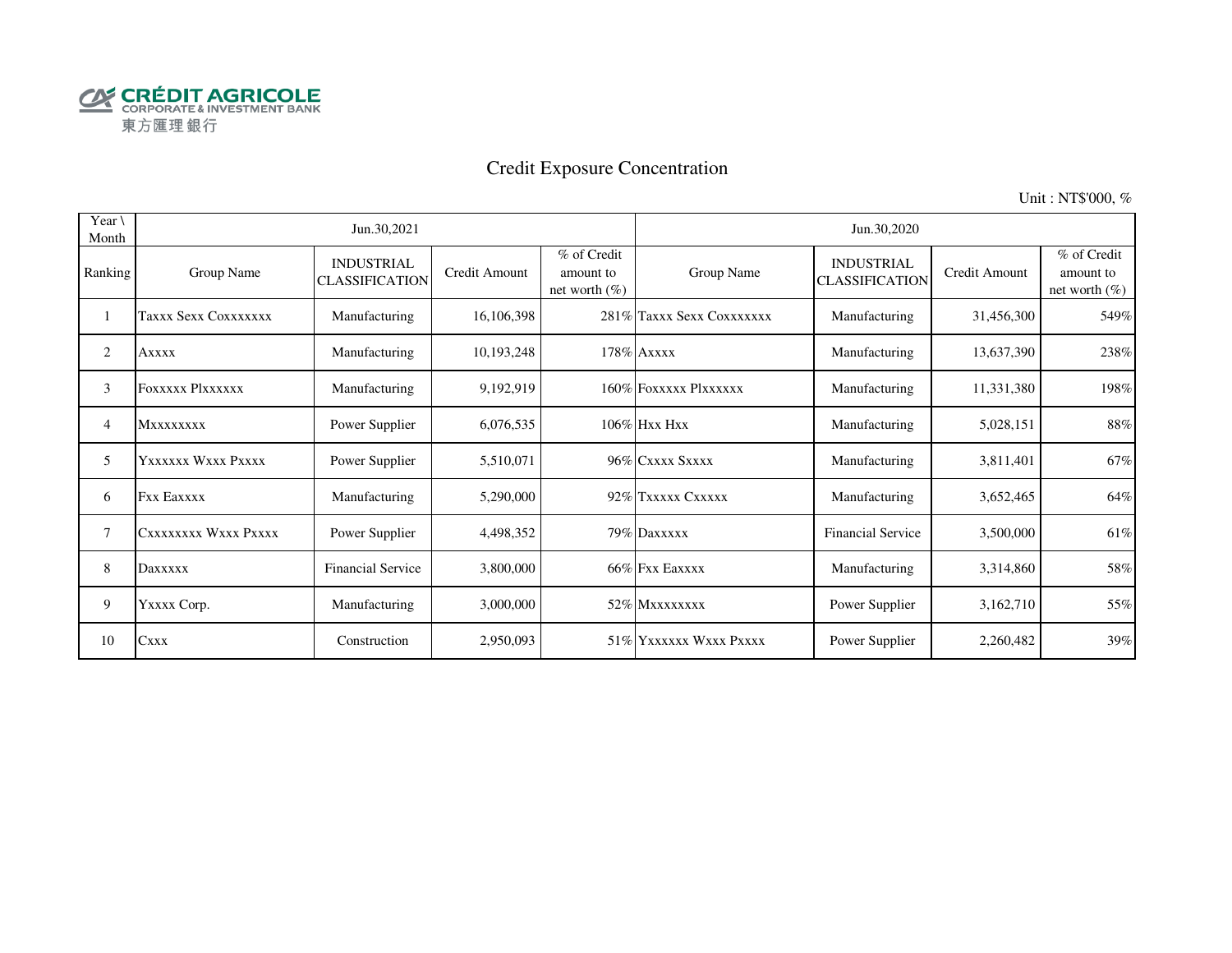

# Credit Exposure Concentration

Unit : NT\$'000, %

| Year $\setminus$<br>Month |                         | Jun.30,2021                                |               |                                              |                           | Jun.30,2020                                |               |                                              |
|---------------------------|-------------------------|--------------------------------------------|---------------|----------------------------------------------|---------------------------|--------------------------------------------|---------------|----------------------------------------------|
| Ranking                   | Group Name              | <b>INDUSTRIAL</b><br><b>CLASSIFICATION</b> | Credit Amount | % of Credit<br>amount to<br>net worth $(\%)$ | Group Name                | <b>INDUSTRIAL</b><br><b>CLASSIFICATION</b> | Credit Amount | % of Credit<br>amount to<br>net worth $(\%)$ |
|                           | Taxxx Sexx Coxxxxxxx    | Manufacturing                              | 16,106,398    |                                              | 281% Taxxx Sexx Coxxxxxxx | Manufacturing                              | 31,456,300    | 549%                                         |
| 2                         | <b>Axxxx</b>            | Manufacturing                              | 10,193,248    |                                              | 178% Axxxx                | Manufacturing                              | 13,637,390    | 238%                                         |
| 3                         | <b>FOXXXXX PIXXXXXX</b> | Manufacturing                              | 9,192,919     |                                              | 160% FOXXXXX PlXXXXXX     | Manufacturing                              | 11,331,380    | 198%                                         |
| 4                         | <b>MXXXXXXXX</b>        | Power Supplier                             | 6,076,535     |                                              | $106\%$ Hxx Hxx           | Manufacturing                              | 5,028,151     | 88%                                          |
| 5                         | Yxxxxxx Wxxx Pxxxx      | Power Supplier                             | 5,510,071     |                                              | 96% CXXXX SXXXX           | Manufacturing                              | 3,811,401     | 67%                                          |
| 6                         | <b>Fxx Eaxxxx</b>       | Manufacturing                              | 5,290,000     |                                              | 92% Txxxxx Cxxxxx         | Manufacturing                              | 3,652,465     | 64%                                          |
| 7                         | CXXXXXXXX WXXX PXXXX    | Power Supplier                             | 4,498,352     |                                              | 79% Daxxxxx               | <b>Financial Service</b>                   | 3,500,000     | 61%                                          |
| 8                         | Daxxxxx                 | <b>Financial Service</b>                   | 3,800,000     |                                              | 66% Fxx Eaxxxx            | Manufacturing                              | 3,314,860     | 58%                                          |
| 9                         | YXXXX Corp.             | Manufacturing                              | 3,000,000     |                                              | 52% Mxxxxxxxx             | Power Supplier                             | 3,162,710     | 55%                                          |
| 10                        | <b>Cxxx</b>             | Construction                               | 2,950,093     |                                              | 51% YXXXXXX WXXX PXXXX    | Power Supplier                             | 2,260,482     | 39%                                          |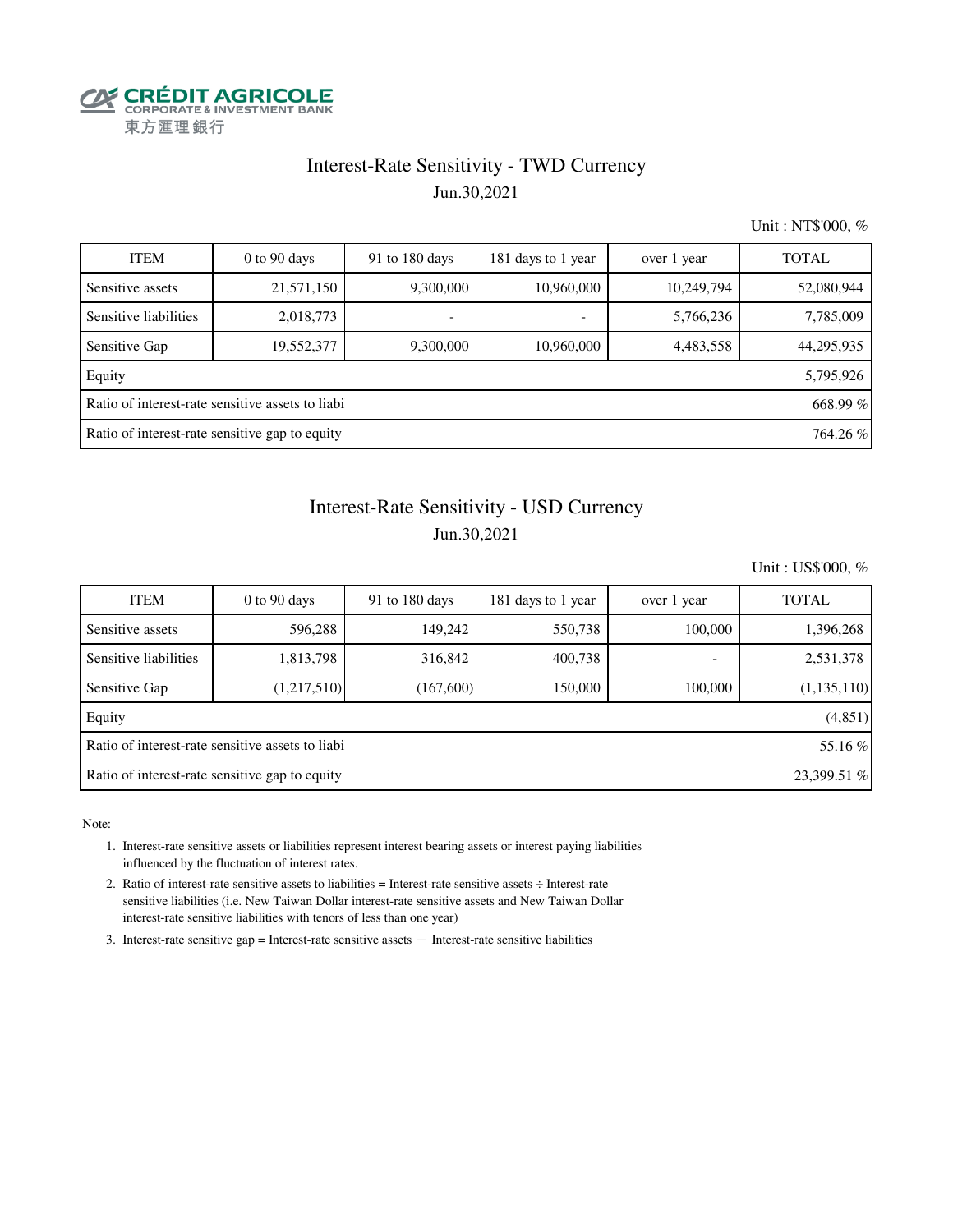

### Interest-Rate Sensitivity - TWD Currency Jun.30,2021

Unit : NT\$'000, %

| <b>ITEM</b>                                    | $0$ to $90$ days                                 | 91 to 180 days | 181 days to 1 year       | over 1 year | <b>TOTAL</b> |  |
|------------------------------------------------|--------------------------------------------------|----------------|--------------------------|-------------|--------------|--|
| Sensitive assets                               | 21,571,150                                       | 9,300,000      | 10,960,000               | 10,249,794  | 52,080,944   |  |
| Sensitive liabilities                          | 2,018,773                                        | ۰              | $\overline{\phantom{a}}$ | 5,766,236   | 7,785,009    |  |
| Sensitive Gap                                  | 19,552,377                                       | 9,300,000      | 10,960,000               | 4,483,558   | 44,295,935   |  |
| Equity                                         |                                                  |                |                          |             | 5,795,926    |  |
|                                                | Ratio of interest-rate sensitive assets to liabi |                |                          |             | 668.99%      |  |
| Ratio of interest-rate sensitive gap to equity |                                                  |                |                          |             |              |  |

# Interest-Rate Sensitivity - USD Currency Jun.30,2021

Unit : US\$'000, %

| <b>ITEM</b>                                                   | $0$ to $90$ days | 91 to $180$ days | 181 days to 1 year | over 1 year              | <b>TOTAL</b> |  |  |  |  |
|---------------------------------------------------------------|------------------|------------------|--------------------|--------------------------|--------------|--|--|--|--|
| Sensitive assets                                              | 596,288          | 149.242          | 550,738            | 100,000                  | 1,396,268    |  |  |  |  |
| Sensitive liabilities                                         | 1,813,798        | 316,842          | 400.738            | $\overline{\phantom{0}}$ | 2,531,378    |  |  |  |  |
| Sensitive Gap                                                 | (1,217,510)      | (167,600)        | 150,000            | 100,000                  | (1,135,110)  |  |  |  |  |
| Equity                                                        |                  |                  |                    |                          | (4,851)      |  |  |  |  |
| Ratio of interest-rate sensitive assets to liabi<br>55.16 %   |                  |                  |                    |                          |              |  |  |  |  |
| 23,399.51 %<br>Ratio of interest-rate sensitive gap to equity |                  |                  |                    |                          |              |  |  |  |  |

Note:

- 1. Interest-rate sensitive assets or liabilities represent interest bearing assets or interest paying liabilities influenced by the fluctuation of interest rates.
- 2. Ratio of interest-rate sensitive assets to liabilities = Interest-rate sensitive assets ÷ Interest-rate sensitive liabilities (i.e. New Taiwan Dollar interest-rate sensitive assets and New Taiwan Dollar interest-rate sensitive liabilities with tenors of less than one year)
- 3. Interest-rate sensitive gap = Interest-rate sensitive assets  $-$  Interest-rate sensitive liabilities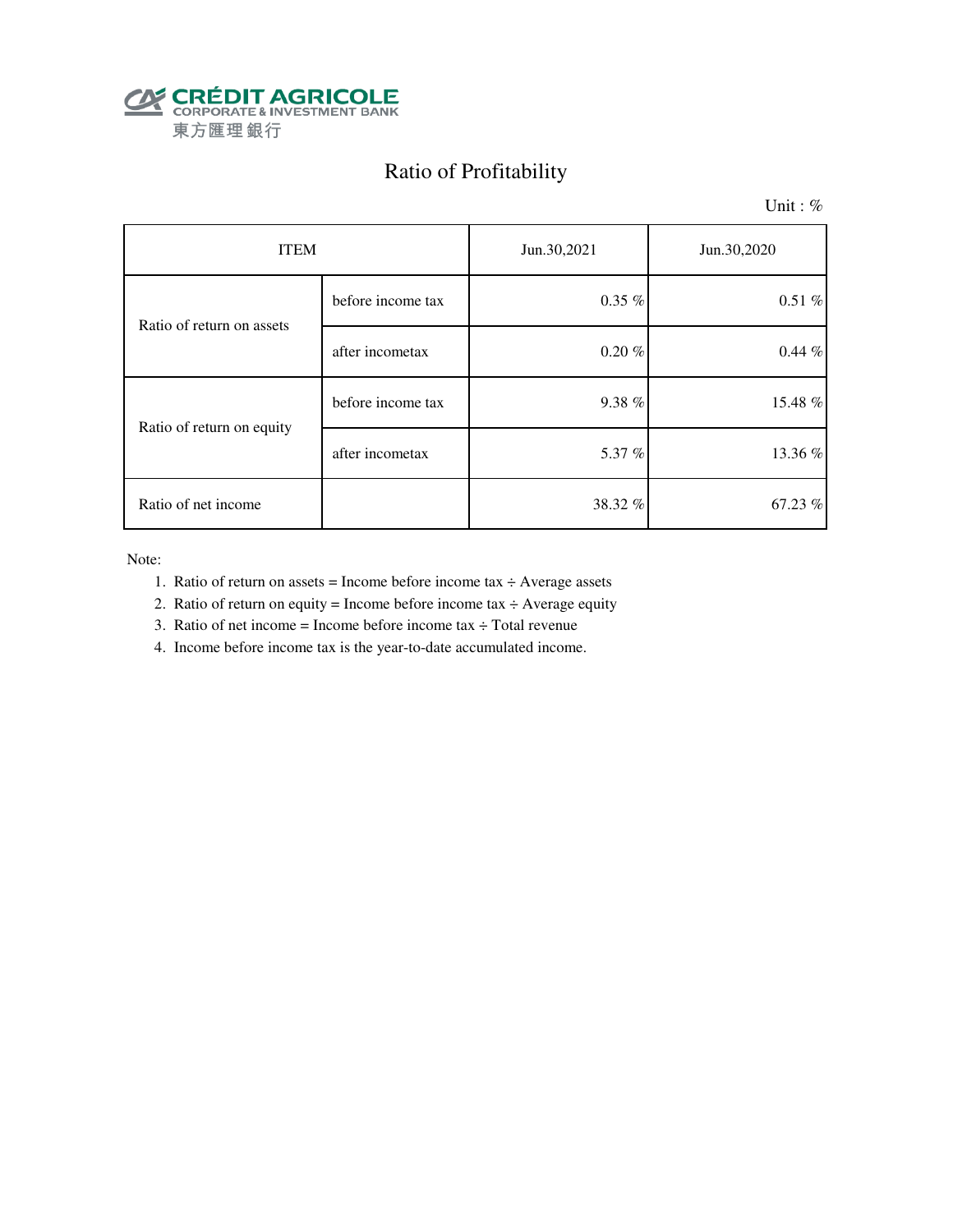

# Ratio of Profitability

Unit: %

| <b>ITEM</b>               |                   | Jun.30,2021 | Jun.30,2020 |
|---------------------------|-------------------|-------------|-------------|
| Ratio of return on assets | before income tax | $0.35\%$    | $0.51\%$    |
|                           | after incometax   | $0.20 \%$   | $0.44 \%$   |
| Ratio of return on equity | before income tax | 9.38%       | 15.48 %     |
|                           | after incometax   | 5.37 %      | 13.36 %     |
| Ratio of net income       |                   | 38.32 %     | 67.23 %     |

Note:

- 1. Ratio of return on assets = Income before income tax  $\div$  Average assets
- 2. Ratio of return on equity = Income before income tax  $\div$  Average equity
- 3. Ratio of net income = Income before income tax  $\div$  Total revenue
- 4. Income before income tax is the year-to-date accumulated income.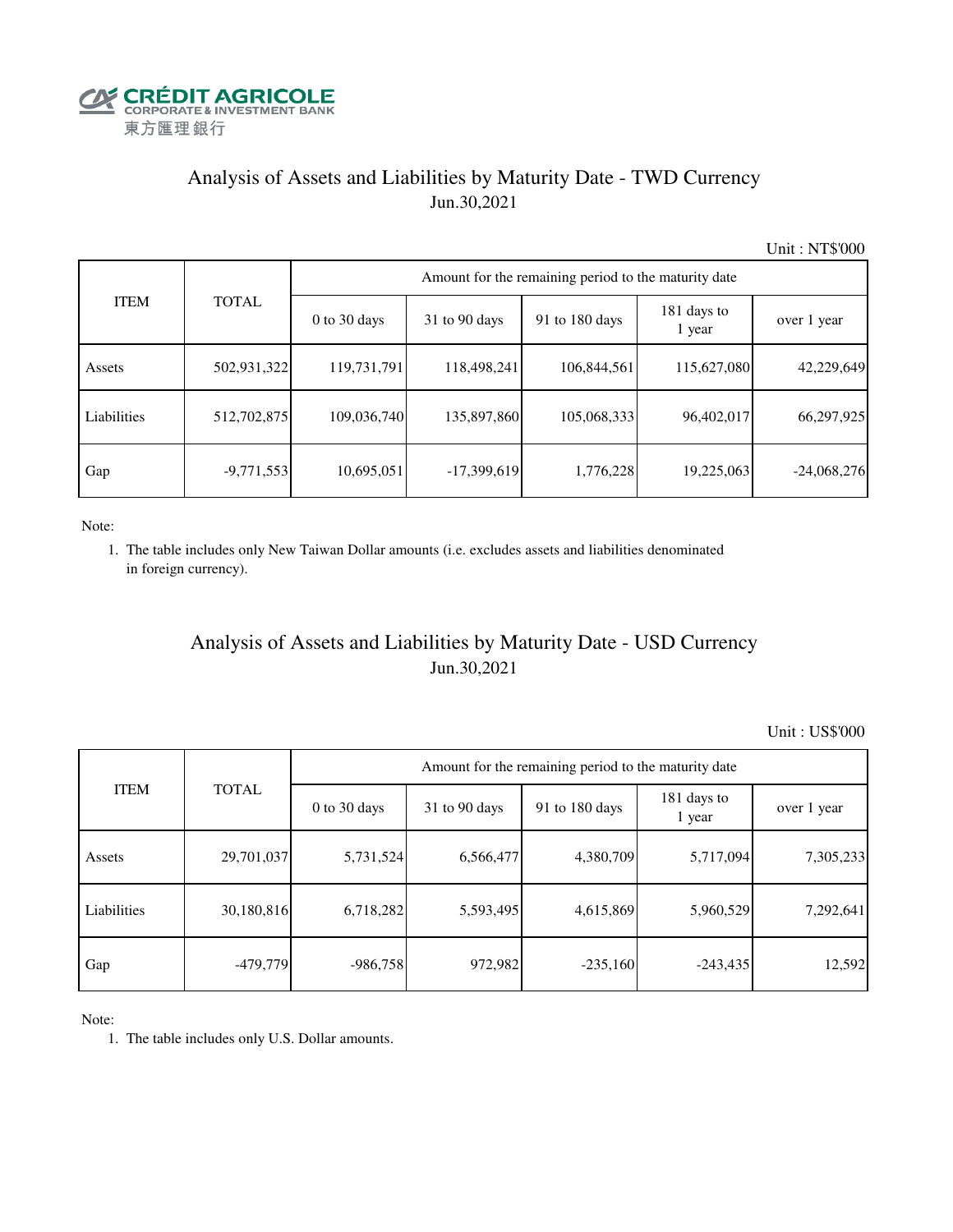

## Analysis of Assets and Liabilities by Maturity Date - TWD Currency Jun.30,2021

Unit : NT\$'000

|             |              | Amount for the remaining period to the maturity date |                 |                |                       |               |  |  |  |  |  |
|-------------|--------------|------------------------------------------------------|-----------------|----------------|-----------------------|---------------|--|--|--|--|--|
| <b>ITEM</b> | <b>TOTAL</b> | $0$ to 30 days                                       | $31$ to 90 days | 91 to 180 days | 181 days to<br>1 year | over 1 year   |  |  |  |  |  |
| Assets      | 502,931,322  | 119,731,791                                          | 118,498,241     | 106,844,561    | 115,627,080           | 42,229,649    |  |  |  |  |  |
| Liabilities | 512,702,875  | 109,036,740                                          | 135,897,860     | 105,068,333    | 96,402,017            | 66,297,925    |  |  |  |  |  |
| Gap         | $-9,771,553$ | 10,695,051                                           | $-17,399,619$   | 1,776,228      | 19,225,063            | $-24,068,276$ |  |  |  |  |  |

Note:

 1. The table includes only New Taiwan Dollar amounts (i.e. excludes assets and liabilities denominated in foreign currency).

## Analysis of Assets and Liabilities by Maturity Date - USD Currency Jun.30,2021

Unit : US\$'000

| <b>ITEM</b> | <b>TOTAL</b> | Amount for the remaining period to the maturity date |                 |                |                       |             |  |  |
|-------------|--------------|------------------------------------------------------|-----------------|----------------|-----------------------|-------------|--|--|
|             |              | $0$ to 30 days                                       | $31$ to 90 days | 91 to 180 days | 181 days to<br>1 year | over 1 year |  |  |
| Assets      | 29,701,037   | 5,731,524                                            | 6,566,477       | 4,380,709      | 5,717,094             | 7,305,233   |  |  |
| Liabilities | 30,180,816   | 6,718,282                                            | 5,593,495       | 4,615,869      | 5,960,529             | 7,292,641   |  |  |
| Gap         | $-479,779$   | $-986,758$                                           | 972,982         | $-235,160$     | $-243,435$            | 12,592      |  |  |

Note:

1. The table includes only U.S. Dollar amounts.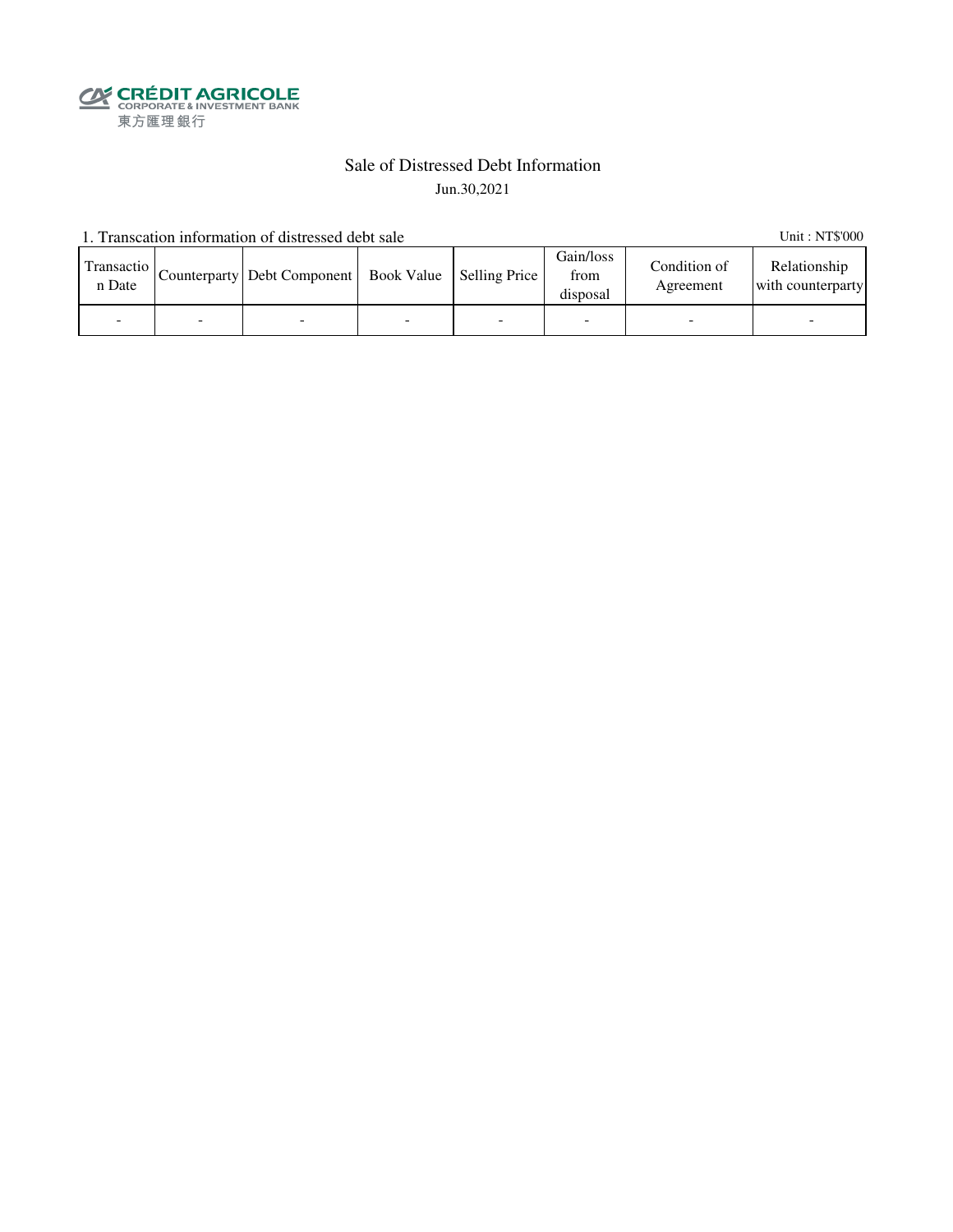**SECRÉDIT AGRICOLE**<br>
CORPORATE& INVESTMENT BANK<br>
東方匯理銀行

### Sale of Distressed Debt Information Jun.30,2021

1. Transcation information of distressed debt sale Unit: NT\$'000

| Transactio<br>n Date | Counterparty   Debt Component   Book Value   Selling Price |  | Gain/loss<br>from<br>disposal | Condition of<br>Agreement | Relationship<br>with counterparty |
|----------------------|------------------------------------------------------------|--|-------------------------------|---------------------------|-----------------------------------|
|                      |                                                            |  | -                             |                           |                                   |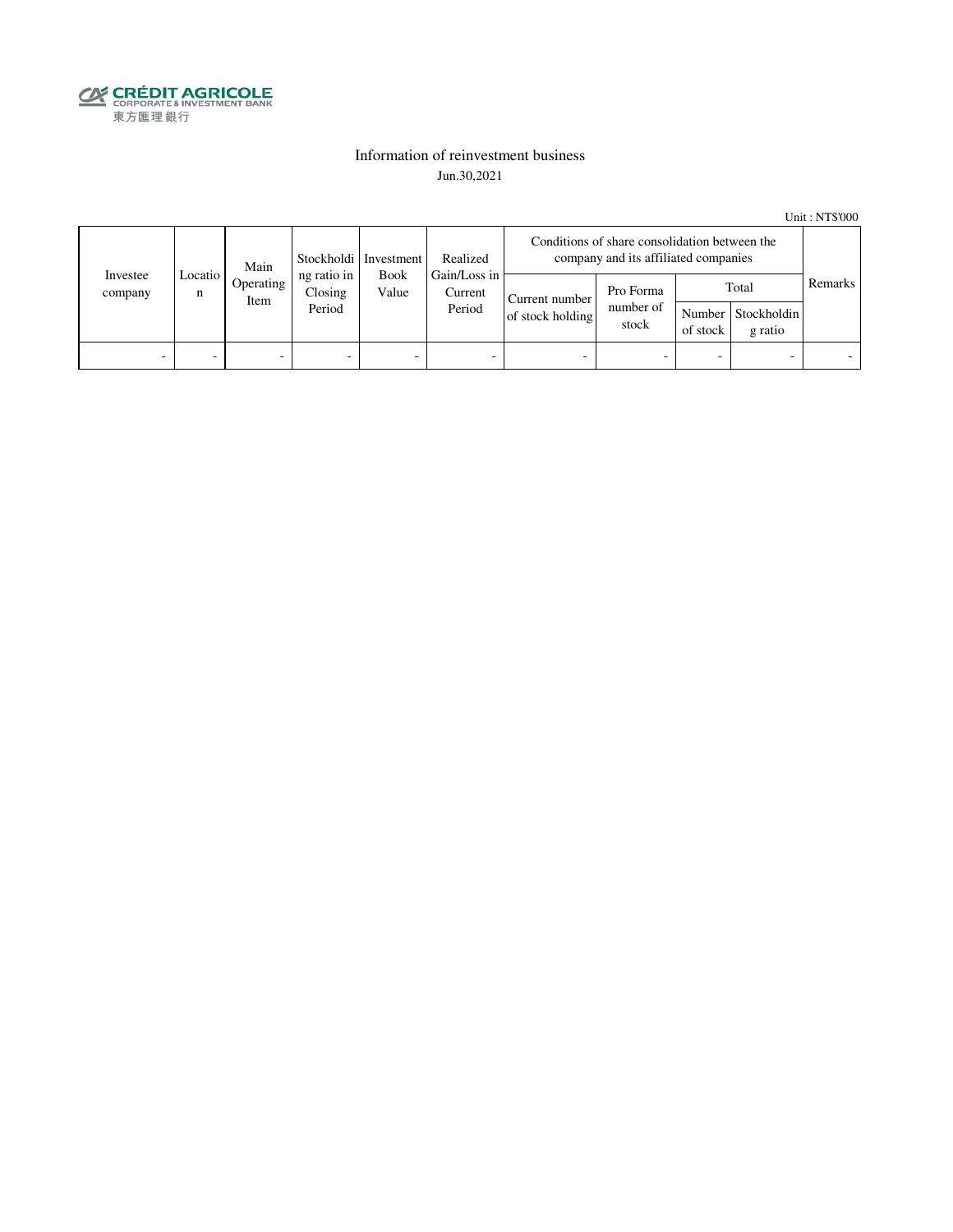

### Information of reinvestment business Jun.30,2021

Unit : NT\$'000

|                     | Main           |                   | Stockholdi   Investment          |       | Realized                                         | Conditions of share consolidation between the<br>company and its affiliated companies |                                 |                          |                                        |         |
|---------------------|----------------|-------------------|----------------------------------|-------|--------------------------------------------------|---------------------------------------------------------------------------------------|---------------------------------|--------------------------|----------------------------------------|---------|
| Investee<br>company | Locatio I<br>n | Operating<br>Item | ng ratio in<br>Closing<br>Period | Value | Gain/Loss in<br><b>Book</b><br>Current<br>Period | Current number<br>of stock holding                                                    | Pro Forma<br>number of<br>stock | of stock                 | Total<br>Number Stockholdin<br>g ratio | Remarks |
| -                   | -              | -                 | $\overline{\phantom{0}}$         | -     | $\overline{\phantom{a}}$                         | -                                                                                     |                                 | $\overline{\phantom{0}}$ |                                        |         |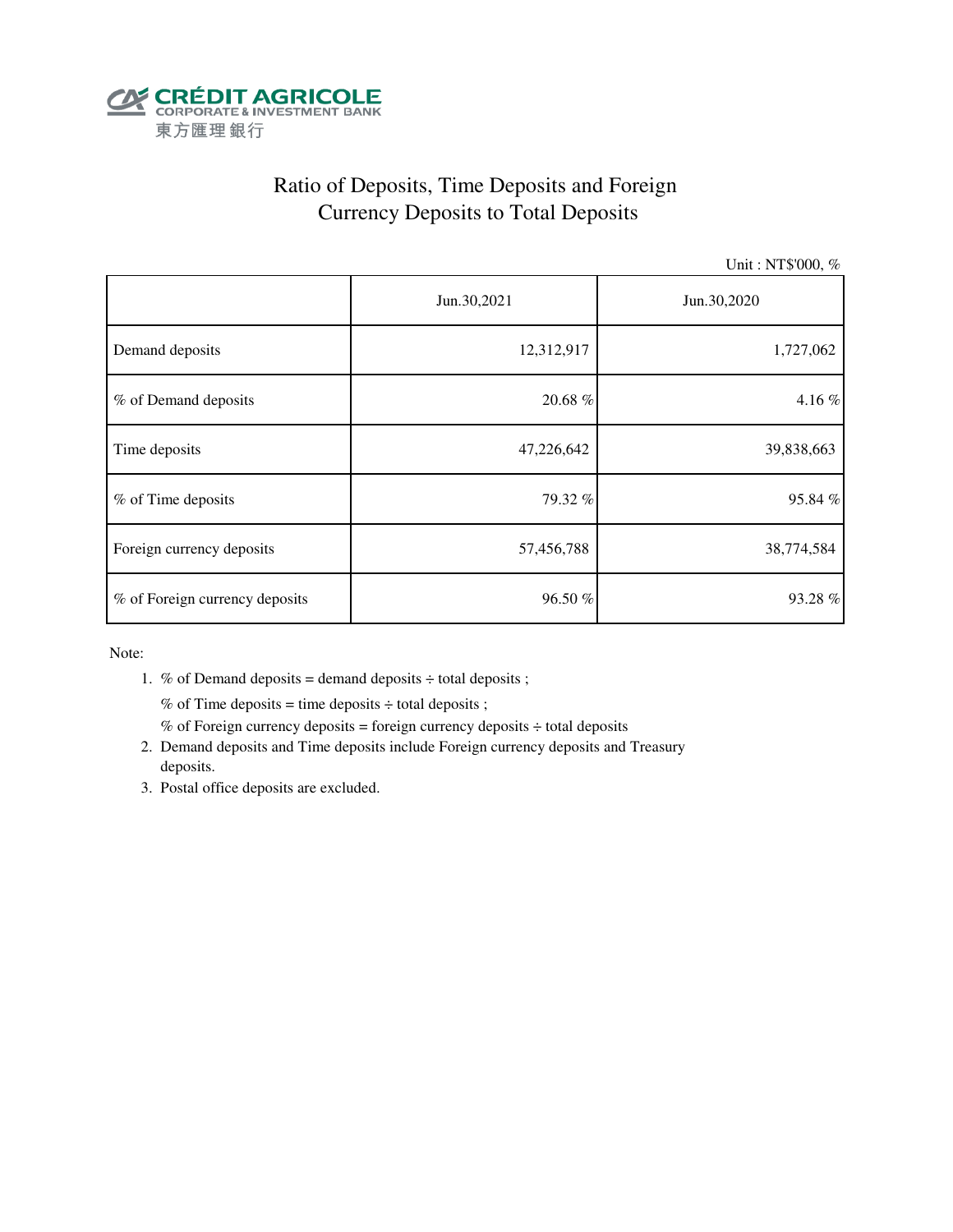

# Ratio of Deposits, Time Deposits and Foreign Currency Deposits to Total Deposits

Unit : NT\$'000, %

|                                | Jun.30,2021 | Jun.30,2020 |  |  |
|--------------------------------|-------------|-------------|--|--|
| Demand deposits                | 12,312,917  | 1,727,062   |  |  |
| % of Demand deposits           | 20.68 %     | 4.16%       |  |  |
| Time deposits                  | 47,226,642  | 39,838,663  |  |  |
| % of Time deposits             | 79.32 %     | 95.84%      |  |  |
| Foreign currency deposits      | 57,456,788  | 38,774,584  |  |  |
| % of Foreign currency deposits | 96.50 %     | 93.28%      |  |  |

Note:

1. % of Demand deposits = demand deposits  $\div$  total deposits ;

% of Time deposits = time deposits  $\div$  total deposits ;

- % of Foreign currency deposits = foreign currency deposits  $\div$  total deposits
- 2. Demand deposits and Time deposits include Foreign currency deposits and Treasury deposits.
- 3. Postal office deposits are excluded.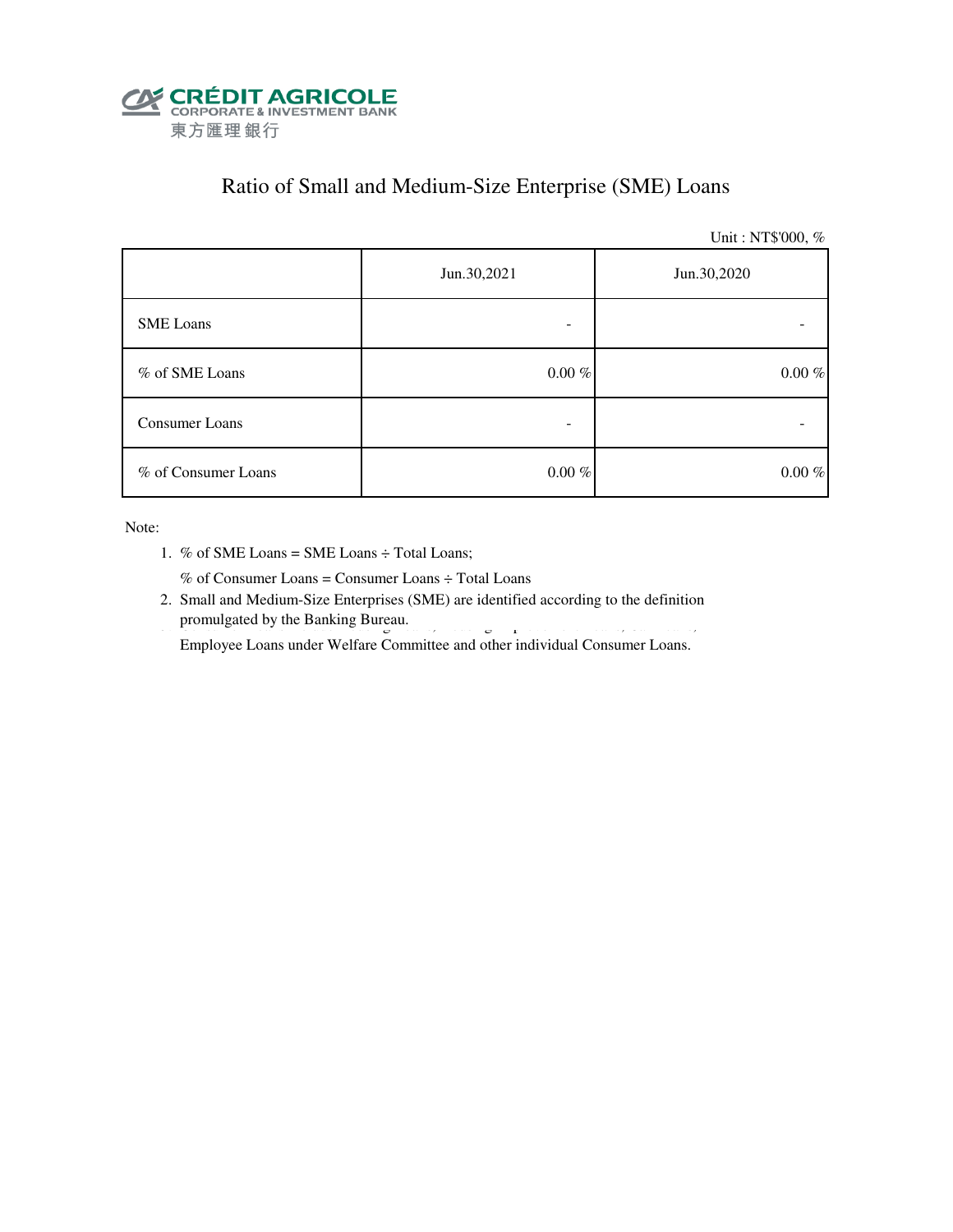

### Ratio of Small and Medium-Size Enterprise (SME) Loans

Unit : NT\$'000, %

|                     | Jun.30,2021<br>Jun.30,2020 |           |  |
|---------------------|----------------------------|-----------|--|
| <b>SME</b> Loans    |                            |           |  |
| % of SME Loans      | $0.00~\%$                  | $0.00~\%$ |  |
| Consumer Loans      |                            |           |  |
| % of Consumer Loans | $0.00~\%$                  | $0.00~\%$ |  |

Note:

1. % of SME Loans = SME Loans ÷ Total Loans;

% of Consumer Loans = Consumer Loans ÷ Total Loans

 2. Small and Medium-Size Enterprises (SME) are identified according to the definition promulgated by the Banking Bureau. 3. Consumer Loans include Housing Improvement Loans, Housing Improvement Loans, Car Loans, Car Loans, Car Loans, Car Loans, Car Loans, Car Loans, Car Loans, Car Loans, Car Loans, Car Loan

Employee Loans under Welfare Committee and other individual Consumer Loans.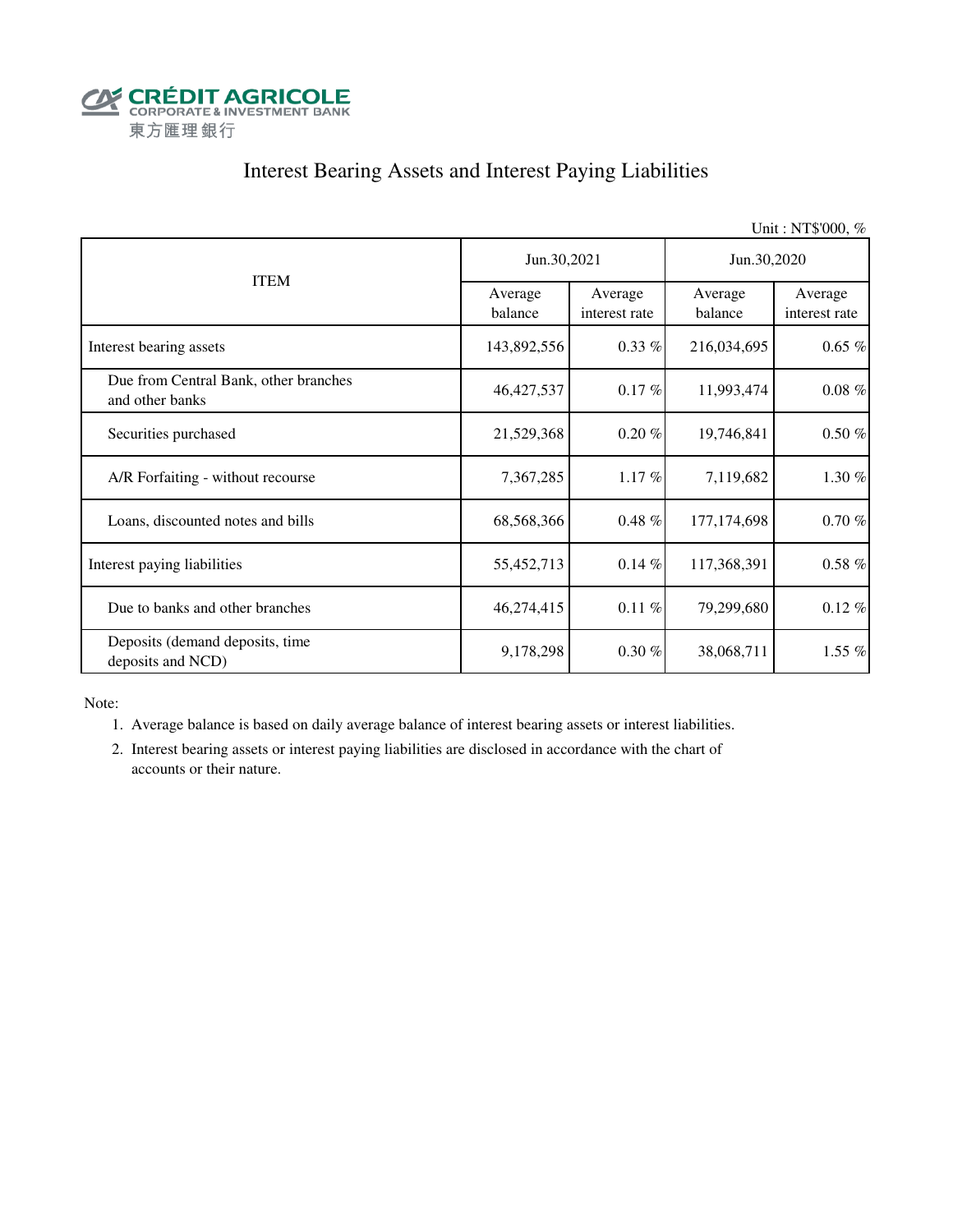

# Interest Bearing Assets and Interest Paying Liabilities

|                                                          |                    |                          |                    | Unit: NT\$'000, %        |  |
|----------------------------------------------------------|--------------------|--------------------------|--------------------|--------------------------|--|
|                                                          | Jun.30,2021        |                          | Jun.30,2020        |                          |  |
| <b>ITEM</b>                                              | Average<br>balance | Average<br>interest rate | Average<br>balance | Average<br>interest rate |  |
| Interest bearing assets                                  | 143,892,556        | $0.33\%$                 | 216,034,695        | $0.65\%$                 |  |
| Due from Central Bank, other branches<br>and other banks | 46, 427, 537       | $0.17 \%$                | 11,993,474         | $0.08~\%$                |  |
| Securities purchased                                     | 21,529,368         | $0.20 \%$                | 19,746,841         | $0.50\%$                 |  |
| A/R Forfaiting - without recourse                        | 7,367,285          | $1.17\%$                 | 7,119,682          | 1.30 %                   |  |
| Loans, discounted notes and bills                        | 68,568,366         | $0.48\%$                 | 177, 174, 698      | $0.70 \%$                |  |
| Interest paying liabilities                              | 55,452,713         | $0.14 \%$                | 117,368,391        | $0.58\%$                 |  |
| Due to banks and other branches                          | 46,274,415         | $0.11 \%$                | 79,299,680         | $0.12\%$                 |  |
| Deposits (demand deposits, time<br>deposits and NCD)     | 9,178,298          | $0.30 \%$                | 38,068,711         | 1.55 %                   |  |

Note:

1. Average balance is based on daily average balance of interest bearing assets or interest liabilities.

 2. Interest bearing assets or interest paying liabilities are disclosed in accordance with the chart of accounts or their nature.